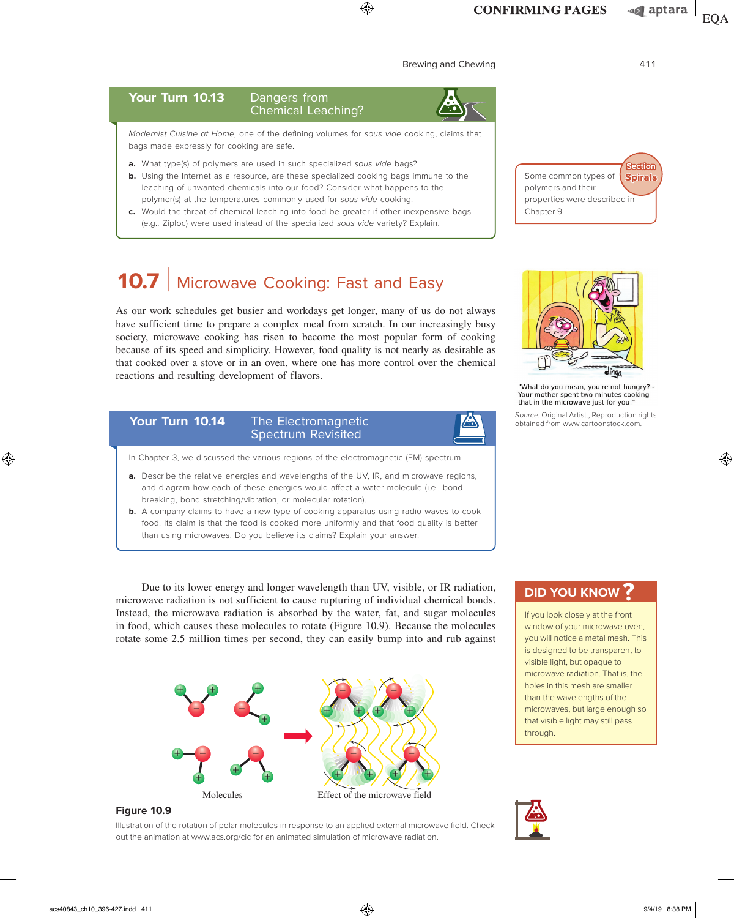⊕

# Brewing and Chewing **411**

### Your Turn 10.13 Dangers from Chemical Leaching?

*Modernist Cuisine at Home*, one of the defining volumes for *sous vide* cooking, claims that bags made expressly for cooking are safe.

- **a.** What type(s) of polymers are used in such specialized *sous vide* bags?
- **b.** Using the Internet as a resource, are these specialized cooking bags immune to the leaching of unwanted chemicals into our food? Consider what happens to the polymer(s) at the temperatures commonly used for *sous vide* cooking.
- **c.** Would the threat of chemical leaching into food be greater if other inexpensive bags (e.g., Ziploc) were used instead of the specialized *sous vide* variety? Explain.

# **10.7** | Microwave Cooking: Fast and Easy

As our work schedules get busier and workdays get longer, many of us do not always have sufficient time to prepare a complex meal from scratch. In our increasingly busy society, microwave cooking has risen to become the most popular form of cooking because of its speed and simplicity. However, food quality is not nearly as desirable as that cooked over a stove or in an oven, where one has more control over the chemical reactions and resulting development of flavors.

#### Your Turn 10.14 The Electromagnetic Z. Spectrum Revisited

- In Chapter 3, we discussed the various regions of the electromagnetic (EM) spectrum.
- **a.** Describe the relative energies and wavelengths of the UV, IR, and microwave regions, and diagram how each of these energies would affect a water molecule (i.e., bond breaking, bond stretching/vibration, or molecular rotation).
- **b.** A company claims to have a new type of cooking apparatus using radio waves to cook food. Its claim is that the food is cooked more uniformly and that food quality is better than using microwaves. Do you believe its claims? Explain your answer.

Due to its lower energy and longer wavelength than UV, visible, or IR radiation, microwave radiation is not sufficient to cause rupturing of individual chemical bonds. Instead, the microwave radiation is absorbed by the water, fat, and sugar molecules in food, which causes these molecules to rotate (Figure 10.9). Because the molecules rotate some 2.5 million times per second, they can easily bump into and rub against



**Figure 10.9**

Illustration of the rotation of polar molecules in response to an applied external microwave field. Check out the animation at www.acs.org/cic for an animated simulation of microwave radiation.



Some common types of polymers and their

Chapter 9.

properties were described in

"What do you mean, you're not hungry? -Your mother spent two minutes cooking that in the microwave just for you!"

dingo.

*Source:* Original Artist., Reproduction rights obtained from www.cartoonstock.com.

# **DID YOU KNOW ?**

If you look closely at the front window of your microwave oven, you will notice a metal mesh. This is designed to be transparent to visible light, but opaque to microwave radiation. That is, the holes in this mesh are smaller than the wavelengths of the microwaves, but large enough so that visible light may still pass through.



⊕

**Spirals Section**